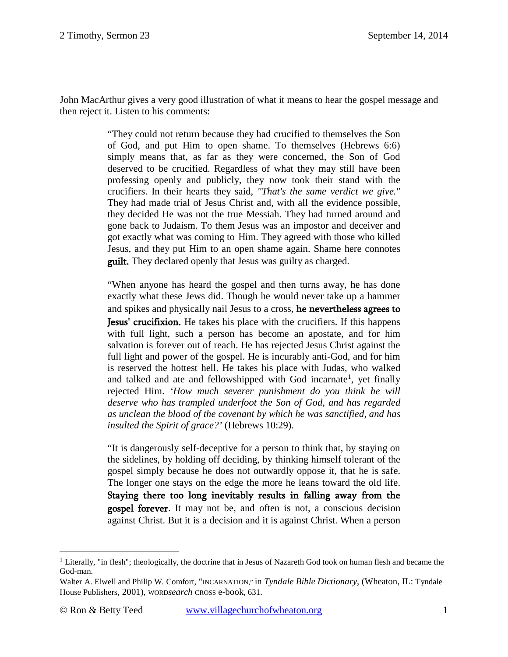John MacArthur gives a very good illustration of what it means to hear the gospel message and then reject it. Listen to his comments:

> "They could not return because they had crucified to themselves the Son of God, and put Him to open shame. To themselves (Hebrews 6:6) simply means that, as far as they were concerned, the Son of God deserved to be crucified. Regardless of what they may still have been professing openly and publicly, they now took their stand with the crucifiers. In their hearts they said, *"That's the same verdict we give."*  They had made trial of Jesus Christ and, with all the evidence possible, they decided He was not the true Messiah. They had turned around and gone back to Judaism. To them Jesus was an impostor and deceiver and got exactly what was coming to Him. They agreed with those who killed Jesus, and they put Him to an open shame again. Shame here connotes guilt. They declared openly that Jesus was guilty as charged.

> "When anyone has heard the gospel and then turns away, he has done exactly what these Jews did. Though he would never take up a hammer and spikes and physically nail Jesus to a cross, he nevertheless agrees to Jesus' crucifixion. He takes his place with the crucifiers. If this happens with full light, such a person has become an apostate, and for him salvation is forever out of reach. He has rejected Jesus Christ against the full light and power of the gospel. He is incurably anti-God, and for him is reserved the hottest hell. He takes his place with Judas, who walked and talked and ate and fellowshipped with God incarnate<sup>[1](#page-0-0)</sup>, yet finally rejected Him. *'How much severer punishment do you think he will deserve who has trampled underfoot the Son of God, and has regarded as unclean the blood of the covenant by which he was sanctified, and has insulted the Spirit of grace?'* [\(Hebrews 10:29\)](http://www.crossbooks.com/verse.asp?ref=Heb+10%3A29).

> "It is dangerously self-deceptive for a person to think that, by staying on the sidelines, by holding off deciding, by thinking himself tolerant of the gospel simply because he does not outwardly oppose it, that he is safe. The longer one stays on the edge the more he leans toward the old life. Staying there too long inevitably results in falling away from the gospel forever. It may not be, and often is not, a conscious decision against Christ. But it is a decision and it is against Christ. When a person

<span id="page-0-0"></span><sup>&</sup>lt;sup>1</sup> Literally, "in flesh"; theologically, the doctrine that in Jesus of Nazareth God took on human flesh and became the God-man.

Walter A. Elwell and Philip W. Comfort, "INCARNATION," in *Tyndale Bible Dictionary*, (Wheaton, IL: Tyndale House Publishers, 2001), WORD*search* CROSS e-book, 631.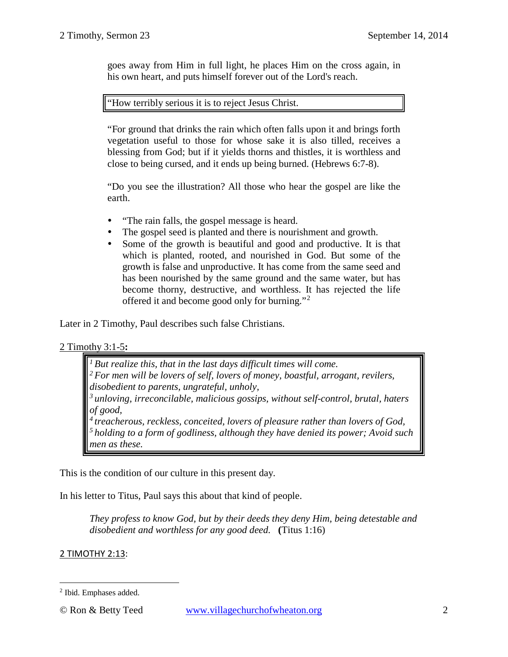goes away from Him in full light, he places Him on the cross again, in his own heart, and puts himself forever out of the Lord's reach.

"How terribly serious it is to reject Jesus Christ.

"For ground that drinks the rain which often falls upon it and brings forth vegetation useful to those for whose sake it is also tilled, receives a blessing from God; but if it yields thorns and thistles, it is worthless and close to being cursed, and it ends up being burned. (Hebrews [6:7-8\)](http://www.crossbooks.com/verse.asp?ref=Heb+6%3A7-8).

"Do you see the illustration? All those who hear the gospel are like the earth.

- "The rain falls, the gospel message is heard.
- The gospel seed is planted and there is nourishment and growth.
- Some of the growth is beautiful and good and productive. It is that which is planted, rooted, and nourished in God. But some of the growth is false and unproductive. It has come from the same seed and has been nourished by the same ground and the same water, but has become thorny, destructive, and worthless. It has rejected the life offered it and become good only for burning."[2](#page-1-0)

Later in 2 Timothy, Paul describes such false Christians.

#### 2 Timothy 3:1-5**:**

*1 But realize this, that in the last days difficult times will come. 2 For men will be lovers of self, lovers of money, boastful, arrogant, revilers, disobedient to parents, ungrateful, unholy,* 

*3 unloving, irreconcilable, malicious gossips, without self-control, brutal, haters of good,* 

*4 treacherous, reckless, conceited, lovers of pleasure rather than lovers of God, 5 holding to a form of godliness, although they have denied its power; Avoid such men as these.* 

This is the condition of our culture in this present day.

In his letter to Titus, Paul says this about that kind of people.

*They profess to know God, but by their deeds they deny Him, being detestable and disobedient and worthless for any good deed.* **(**Titus 1:16)

2 TIMOTHY 2:13:

<span id="page-1-0"></span><sup>2</sup> Ibid. Emphases added.  $\overline{a}$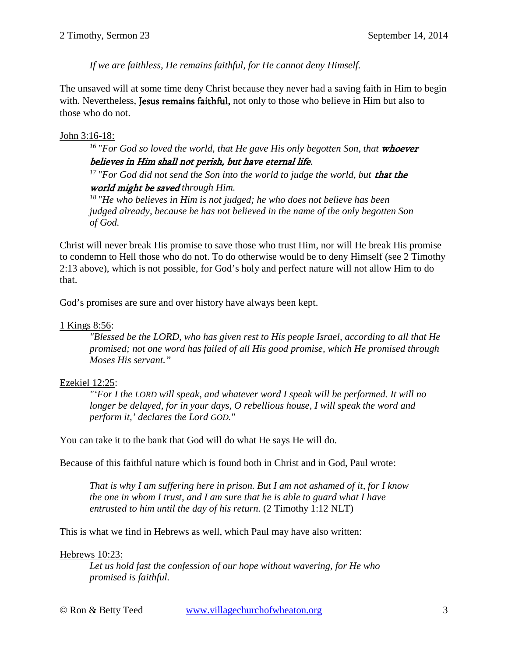*If we are faithless, He remains faithful, for He cannot deny Himself.* 

The unsaved will at some time deny Christ because they never had a saving faith in Him to begin with. Nevertheless, **Jesus remains faithful**, not only to those who believe in Him but also to those who do not.

## John 3:16-18:

### <sup>16</sup> "For God so loved the world, that He gave His only begotten Son, that **whoever** believes in Him shall not perish, but have eternal life.

<sup>17</sup> "For God did not send the Son into the world to judge the world, but **that the** world might be saved *through Him.* 

*18 "He who believes in Him is not judged; he who does not believe has been judged already, because he has not believed in the name of the only begotten Son of God.* 

Christ will never break His promise to save those who trust Him, nor will He break His promise to condemn to Hell those who do not. To do otherwise would be to deny Himself (see 2 Timothy 2:13 above), which is not possible, for God's holy and perfect nature will not allow Him to do that.

God's promises are sure and over history have always been kept.

1 Kings 8:56:

*"Blessed be the LORD, who has given rest to His people Israel, according to all that He promised; not one word has failed of all His good promise, which He promised through Moses His servant."* 

## Ezekiel 12:25:

*"'For I the LORD will speak, and whatever word I speak will be performed. It will no longer be delayed, for in your days, O rebellious house, I will speak the word and perform it,' declares the Lord GOD."* 

You can take it to the bank that God will do what He says He will do.

Because of this faithful nature which is found both in Christ and in God, Paul wrote:

*That is why I am suffering here in prison. But I am not ashamed of it, for I know the one in whom I trust, and I am sure that he is able to guard what I have entrusted to him until the day of his return.* (2 Timothy 1:12 NLT)

This is what we find in Hebrews as well, which Paul may have also written:

#### Hebrews 10:23:

*Let us hold fast the confession of our hope without wavering, for He who promised is faithful.*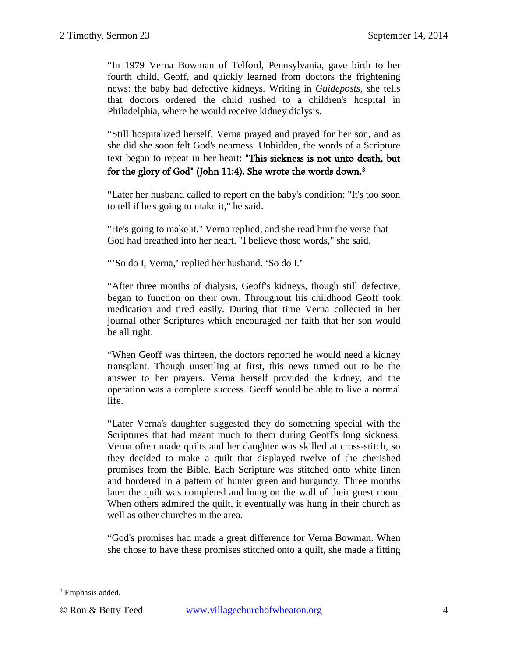"In 1979 Verna Bowman of Telford, Pennsylvania, gave birth to her fourth child, Geoff, and quickly learned from doctors the frightening news: the baby had defective kidneys. Writing in *Guideposts,* she tells that doctors ordered the child rushed to a children's hospital in Philadelphia, where he would receive kidney dialysis.

"Still hospitalized herself, Verna prayed and prayed for her son, and as she did she soon felt God's nearness. Unbidden, the words of a Scripture text began to repeat in her heart: "This sickness is not unto death, but for the glory of God" [\(John 11:4\)](http://www.crossbooks.com/verse.asp?ref=Jn+11%3A4). She wrote the words down.[3](#page-3-0)

"Later her husband called to report on the baby's condition: "It's too soon to tell if he's going to make it," he said.

"He's going to make it," Verna replied, and she read him the verse that God had breathed into her heart. "I believe those words," she said.

"'So do I, Verna,' replied her husband. 'So do I.'

"After three months of dialysis, Geoff's kidneys, though still defective, began to function on their own. Throughout his childhood Geoff took medication and tired easily. During that time Verna collected in her journal other Scriptures which encouraged her faith that her son would be all right.

"When Geoff was thirteen, the doctors reported he would need a kidney transplant. Though unsettling at first, this news turned out to be the answer to her prayers. Verna herself provided the kidney, and the operation was a complete success. Geoff would be able to live a normal life.

"Later Verna's daughter suggested they do something special with the Scriptures that had meant much to them during Geoff's long sickness. Verna often made quilts and her daughter was skilled at cross-stitch, so they decided to make a quilt that displayed twelve of the cherished promises from the Bible. Each Scripture was stitched onto white linen and bordered in a pattern of hunter green and burgundy. Three months later the quilt was completed and hung on the wall of their guest room. When others admired the quilt, it eventually was hung in their church as well as other churches in the area.

"God's promises had made a great difference for Verna Bowman. When she chose to have these promises stitched onto a quilt, she made a fitting

<span id="page-3-0"></span><sup>&</sup>lt;sup>3</sup> Emphasis added.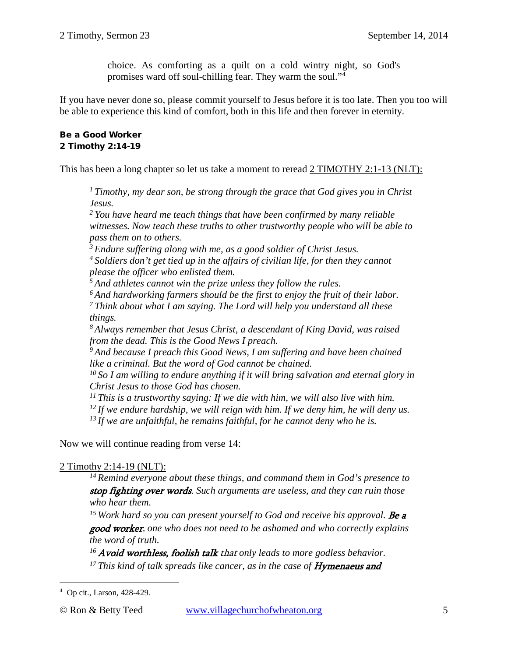choice. As comforting as a quilt on a cold wintry night, so God's promises ward off soul-chilling fear. They warm the soul."[4](#page-4-0)

If you have never done so, please commit yourself to Jesus before it is too late. Then you too will be able to experience this kind of comfort, both in this life and then forever in eternity.

#### Be a Good Worker 2 Timothy 2:14-19

This has been a long chapter so let us take a moment to reread 2 TIMOTHY 2:1-13 (NLT):

*1 Timothy, my dear son, be strong through the grace that God gives you in Christ Jesus.* 

*2 You have heard me teach things that have been confirmed by many reliable witnesses. Now teach these truths to other trustworthy people who will be able to pass them on to others.* 

*3 Endure suffering along with me, as a good soldier of Christ Jesus. 4 Soldiers don't get tied up in the affairs of civilian life, for then they cannot* 

*please the officer who enlisted them.* 

*5 And athletes cannot win the prize unless they follow the rules.* 

*6 And hardworking farmers should be the first to enjoy the fruit of their labor.* 

*7 Think about what I am saying. The Lord will help you understand all these things.* 

*8 Always remember that Jesus Christ, a descendant of King David, was raised from the dead. This is the Good News I preach.* 

*9 And because I preach this Good News, I am suffering and have been chained like a criminal. But the word of God cannot be chained.* 

<sup>10</sup> So I am willing to endure anything if it will bring salvation and eternal glory in *Christ Jesus to those God has chosen.* 

*11 This is a trustworthy saying: If we die with him, we will also live with him.* 

*12 If we endure hardship, we will reign with him. If we deny him, he will deny us.* 

*13 If we are unfaithful, he remains faithful, for he cannot deny who he is.* 

Now we will continue reading from verse 14:

## 2 Timothy 2:14-19 (NLT):

*14 Remind everyone about these things, and command them in God's presence to*  stop fighting over words. *Such arguments are useless, and they can ruin those who hear them.* 

<sup>15</sup> Work hard so you can present yourself to God and receive his approval. **Be a** good worker, *one who does not need to be ashamed and who correctly explains the word of truth.* 

*<sup>16</sup>*Avoid worthless, foolish talk that *only leads to more godless behavior.*  <sup>17</sup> This kind of talk spreads like cancer, as in the case of **Hymenaeus and** 

<span id="page-4-0"></span><sup>4</sup> Op cit., Larson, 428-429.